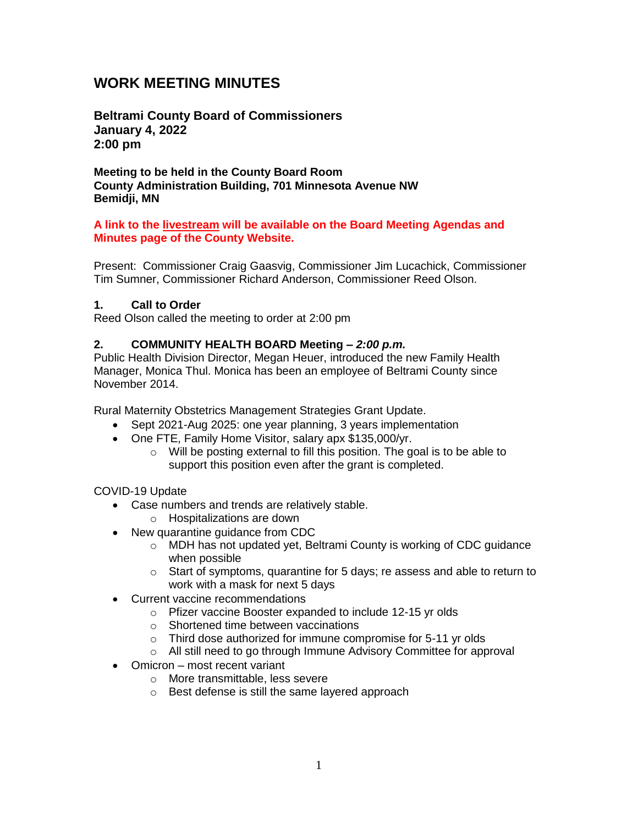# **WORK MEETING MINUTES**

**Beltrami County Board of Commissioners January 4, 2022 2:00 pm**

**Meeting to be held in the County Board Room County Administration Building, 701 Minnesota Avenue NW Bemidji, MN**

#### **A link to the livestream will be available on the Board Meeting Agendas and Minutes page of the County Website.**

Present: Commissioner Craig Gaasvig, Commissioner Jim Lucachick, Commissioner Tim Sumner, Commissioner Richard Anderson, Commissioner Reed Olson.

### **1. Call to Order**

Reed Olson called the meeting to order at 2:00 pm

### **2. COMMUNITY HEALTH BOARD Meeting –** *2:00 p.m.*

Public Health Division Director, Megan Heuer, introduced the new Family Health Manager, Monica Thul. Monica has been an employee of Beltrami County since November 2014.

Rural Maternity Obstetrics Management Strategies Grant Update.

- Sept 2021-Aug 2025: one year planning, 3 years implementation
- One FTE, Family Home Visitor, salary apx \$135,000/yr.
	- o Will be posting external to fill this position. The goal is to be able to support this position even after the grant is completed.

### COVID-19 Update

- Case numbers and trends are relatively stable.
	- o Hospitalizations are down
- New quarantine guidance from CDC
	- o MDH has not updated yet, Beltrami County is working of CDC guidance when possible
	- o Start of symptoms, quarantine for 5 days; re assess and able to return to work with a mask for next 5 days
- Current vaccine recommendations
	- o Pfizer vaccine Booster expanded to include 12-15 yr olds
	- o Shortened time between vaccinations
	- o Third dose authorized for immune compromise for 5-11 yr olds
	- o All still need to go through Immune Advisory Committee for approval
- Omicron most recent variant
	- o More transmittable, less severe
	- o Best defense is still the same layered approach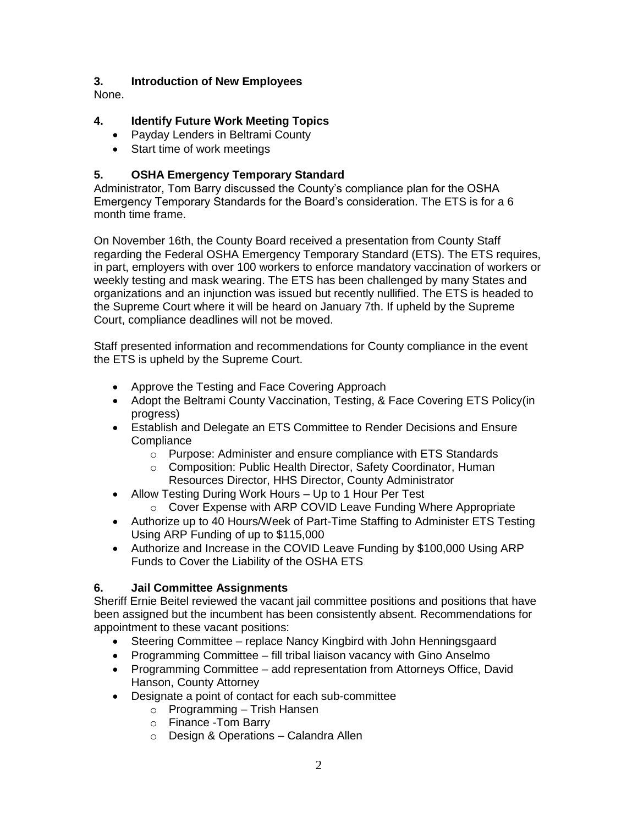### **3. Introduction of New Employees**

None.

## **4. Identify Future Work Meeting Topics**

- Payday Lenders in Beltrami County
- Start time of work meetings

### **5. OSHA Emergency Temporary Standard**

Administrator, Tom Barry discussed the County's compliance plan for the OSHA Emergency Temporary Standards for the Board's consideration. The ETS is for a 6 month time frame.

On November 16th, the County Board received a presentation from County Staff regarding the Federal OSHA Emergency Temporary Standard (ETS). The ETS requires, in part, employers with over 100 workers to enforce mandatory vaccination of workers or weekly testing and mask wearing. The ETS has been challenged by many States and organizations and an injunction was issued but recently nullified. The ETS is headed to the Supreme Court where it will be heard on January 7th. If upheld by the Supreme Court, compliance deadlines will not be moved.

Staff presented information and recommendations for County compliance in the event the ETS is upheld by the Supreme Court.

- Approve the Testing and Face Covering Approach
- Adopt the Beltrami County Vaccination, Testing, & Face Covering ETS Policy(in progress)
- Establish and Delegate an ETS Committee to Render Decisions and Ensure **Compliance** 
	- o Purpose: Administer and ensure compliance with ETS Standards
	- o Composition: Public Health Director, Safety Coordinator, Human Resources Director, HHS Director, County Administrator
- Allow Testing During Work Hours Up to 1 Hour Per Test
	- o Cover Expense with ARP COVID Leave Funding Where Appropriate
- Authorize up to 40 Hours/Week of Part-Time Staffing to Administer ETS Testing Using ARP Funding of up to \$115,000
- Authorize and Increase in the COVID Leave Funding by \$100,000 Using ARP Funds to Cover the Liability of the OSHA ETS

### **6. Jail Committee Assignments**

Sheriff Ernie Beitel reviewed the vacant jail committee positions and positions that have been assigned but the incumbent has been consistently absent. Recommendations for appointment to these vacant positions:

- Steering Committee replace Nancy Kingbird with John Henningsgaard
- Programming Committee fill tribal liaison vacancy with Gino Anselmo
- Programming Committee add representation from Attorneys Office, David Hanson, County Attorney
- Designate a point of contact for each sub-committee
	- $\circ$  Programming Trish Hansen
	- o Finance -Tom Barry
	- o Design & Operations Calandra Allen